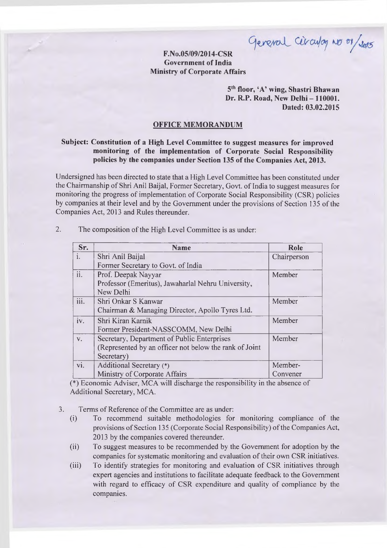**F.No.05/09/2014-CSR '**

## **Government ofIndia Ministry of Corporate Affairs**

**5th floor, 'A' wing, Shastri Bhawan Dr. R.P. Road, New Delhi - 110001. Dated: 03.02.2015**

## **OFFICE MEMORANDUM**

## **Subject: Constitution of a High Level Committee to suggest measures for improved monitoring of the implementation of Corporate Social Responsibility policies by the companies under Section 135 ofthe Companies Act, 2013.**

Undersigned has been directed to state that a High Level Committee has been constituted under the Chairmanship of Shri Anil Baijal, Former Secretary, Govt. of India to suggest measures for monitoring the progress of implementation of Corporate Social Responsibility (CSR) policies by companies at their level and by the Government under the provisions of Section 135 of the Companies Act, 2013 and Rules thereunder.

| Sr.         | <b>Name</b>                                            | Role        |
|-------------|--------------------------------------------------------|-------------|
| i.          | Shri Anil Baijal                                       | Chairperson |
|             | Former Secretary to Govt. of India                     |             |
| ii.         | Prof. Deepak Nayyar                                    | Member      |
|             | Professor (Emeritus), Jawaharlal Nehru University,     |             |
|             | New Delhi                                              |             |
| iii.        | Shri Onkar S Kanwar                                    | Member      |
|             | Chairman & Managing Director, Apollo Tyres Ltd.        |             |
| iv.         | Shri Kiran Karnik                                      | Member      |
|             | Former President-NASSCOMM, New Delhi                   |             |
| $V_{\star}$ | Secretary, Department of Public Enterprises            | Member      |
|             | (Represented by an officer not below the rank of Joint |             |
|             | Secretary)                                             |             |
| vi.         | Additional Secretary (*)                               | Member-     |
|             | Ministry of Corporate Affairs                          | Convener    |

2. The composition of the High Level Committee is as under:

 $(*)$  Economic Adviser, MCA will discharge the responsibility in the absence of Additional Secretary, MCA.

3. Terms of Reference of the Committee are as under:

- (i) To recommend suitable methodologies for monitoring compliance of the provisions of Section 135 (Corporate Social Responsibility) of the Companies Act, 2013 by the companies covered thereunder.
- (ii) To suggest measures to be recommended by the Government for adoption by the companies for systematic monitoring and evaluation of their own CSR initiatives.
- (iii) To identify strategies for monitoring and evaluation of CSR initiatives through expert agencies and institutions to facilitate adequate feedback to the Government with regard to efficacy of CSR expenditure and quality of compliance by the companies.